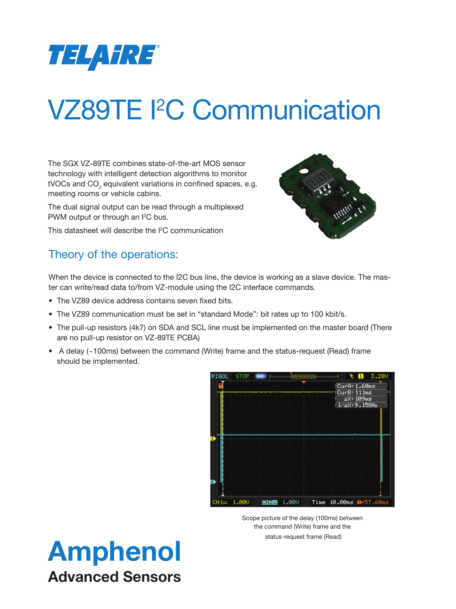

The SGX VZ-89TE combines state-of-the-art MOS sensor technology with intelligent detection algorithms to monitor tVOCs and CO<sub>2</sub> equivalent variations in confined spaces, e.g. meeting rooms or vehicle cabins.

The dual signal output can be read through a multiplexed PWM output or through an I<sup>2</sup>C bus.

This datasheet will describe the I<sup>2</sup>C communication



#### Theory of the operations:

When the device is connected to the I2C bus line, the device is working as a slave device. The master can write/read data to/from VZ-module using the I2C interface commands.

- The VZ89 device address contains seven fixed bits.
- The VZ89 communication must be set in "standard Mode": bit rates up to 100 kbit/s.
- The pull-up resistors (4k7) on SDA and SCL line must be implemented on the master board (There are no pull-up resistor on VZ-89TE PCBA)
- A delay (~100ms) between the command (Write) frame and the status-request (Read) frame should be implemented.



Scope picture of the delay (100ms) between the command (Write) frame and the status-request frame (Read)

### Amphenol Advanced Sensors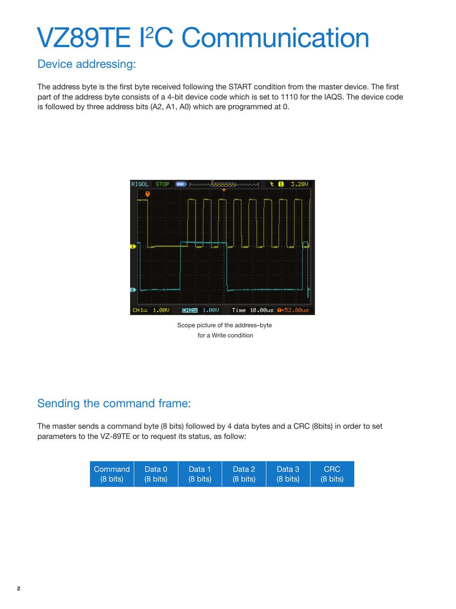#### Device addressing:

The address byte is the first byte received following the START condition from the master device. The first part of the address byte consists of a 4-bit device code which is set to 1110 for the IAQS. The device code is followed by three address bits (A2, A1, A0) which are programmed at 0.



Scope picture of the address–byte for a Write condition

#### Sending the command frame:

The master sends a command byte (8 bits) followed by 4 data bytes and a CRC (8bits) in order to set parameters to the VZ-89TE or to request its status, as follow:

| Command            | Data 0             | 'Data 1            | Data 2'            | Data 3             | <b>CRC</b>         |
|--------------------|--------------------|--------------------|--------------------|--------------------|--------------------|
| $(8 \text{ bits})$ | $(8 \text{ bits})$ | $(8 \text{ bits})$ | $(8 \text{ bits})$ | $(8 \text{ bits})$ | $(8 \text{ bits})$ |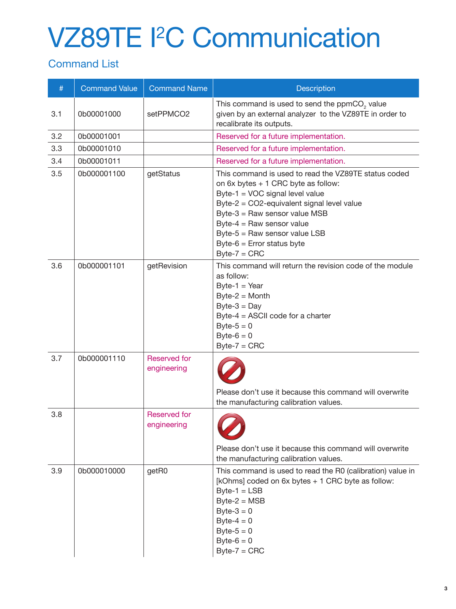#### Command List

| #   | <b>Command Value</b> | <b>Command Name</b>                | <b>Description</b>                                                                                                                                                                                                                                                                                                          |
|-----|----------------------|------------------------------------|-----------------------------------------------------------------------------------------------------------------------------------------------------------------------------------------------------------------------------------------------------------------------------------------------------------------------------|
| 3.1 | 0b00001000           | setPPMCO2                          | This command is used to send the ppmCO <sub>2</sub> value<br>given by an external analyzer to the VZ89TE in order to<br>recalibrate its outputs.                                                                                                                                                                            |
| 3.2 | 0b00001001           |                                    | Reserved for a future implementation.                                                                                                                                                                                                                                                                                       |
| 3.3 | 0b00001010           |                                    | Reserved for a future implementation.                                                                                                                                                                                                                                                                                       |
| 3.4 | 0b00001011           |                                    | Reserved for a future implementation.                                                                                                                                                                                                                                                                                       |
| 3.5 | 0b000001100          | getStatus                          | This command is used to read the VZ89TE status coded<br>on 6x bytes + 1 CRC byte as follow:<br>Byte-1 = VOC signal level value<br>Byte-2 = CO2-equivalent signal level value<br>Byte-3 = Raw sensor value MSB<br>Byte-4 = Raw sensor value<br>Byte-5 = Raw sensor value LSB<br>Byte-6 = Error status byte<br>$Byte-7 = CRC$ |
| 3.6 | 0b000001101          | getRevision                        | This command will return the revision code of the module<br>as follow:<br>$Byte-1 = Year$<br>$Byte-2 = Month$<br>$Byte-3 = Day$<br>Byte-4 = ASCII code for a charter<br>Byte- $5 = 0$<br>Byte- $6 = 0$<br>$Byte-7 = CRC$                                                                                                    |
| 3.7 | 0b000001110          | <b>Reserved for</b><br>engineering | Please don't use it because this command will overwrite<br>the manufacturing calibration values.                                                                                                                                                                                                                            |
| 3.8 |                      | <b>Reserved for</b><br>engineering | Please don't use it because this command will overwrite<br>the manufacturing calibration values.                                                                                                                                                                                                                            |
| 3.9 | 0b000010000          | getR0                              | This command is used to read the R0 (calibration) value in<br>[kOhms] coded on 6x bytes + 1 CRC byte as follow:<br>$Byte-1 = LSB$<br>$Byte-2 = MSB$<br>Byte- $3 = 0$<br>Byte- $4 = 0$<br>Byte- $5 = 0$<br>Byte- $6 = 0$<br>$Byte-7 = CRC$                                                                                   |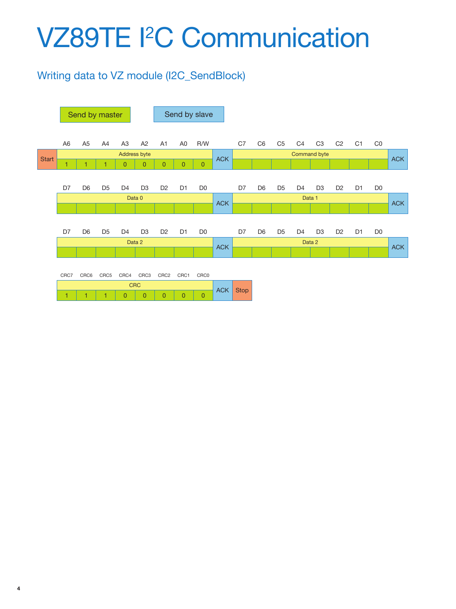#### Writing data to VZ module (I2C\_SendBlock)

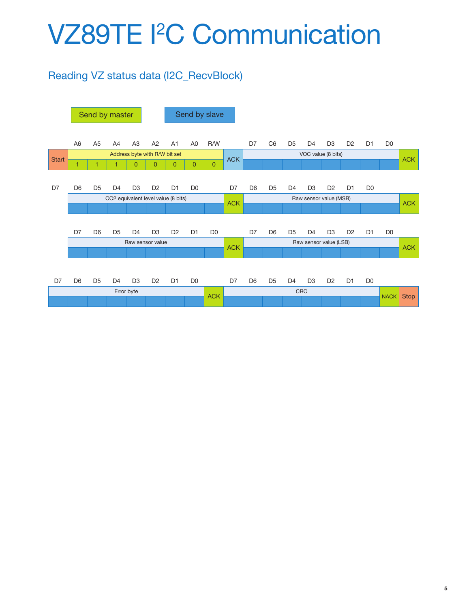### Reading VZ status data (I2C\_RecvBlock)

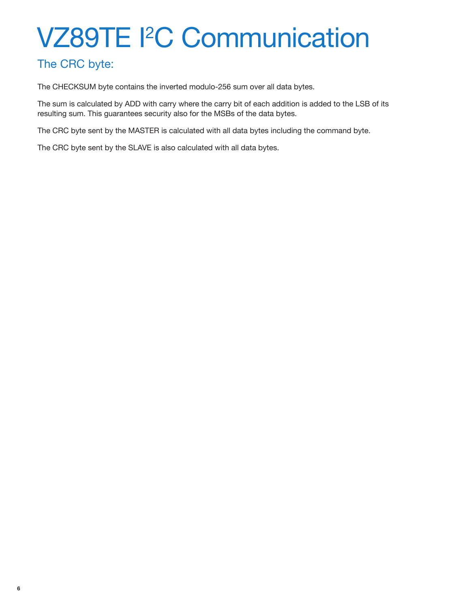#### The CRC byte:

The CHECKSUM byte contains the inverted modulo-256 sum over all data bytes.

The sum is calculated by ADD with carry where the carry bit of each addition is added to the LSB of its resulting sum. This guarantees security also for the MSBs of the data bytes.

The CRC byte sent by the MASTER is calculated with all data bytes including the command byte.

The CRC byte sent by the SLAVE is also calculated with all data bytes.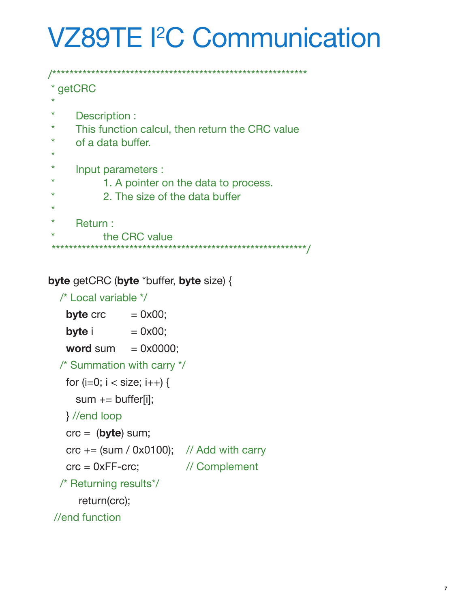```
/***********************************************************
 getCRC
 * 
      Description :
     This function calcul, then return the CRC value
     of a data buffer.
 * 
     Input parameters :
            1. A pointer on the data to process.
            2. The size of the data buffer
 * 
      Return :
            the CRC value
 ***********************************************************/
```
#### **byte** getCRC (**byte** \*buffer, **byte** size) {

```
 /* Local variable */
  byte \text{crc} = 0 \times 00;
  byte i = 0 \times 00;
  word sum = 0 \times 0000;
  /* Summation with carry */
  for (i=0; i < size; i++) {
     sum += buffer[i]; } //end loop
   crc = (byte) sum;
  \text{crc} += (\text{sum } / 0 \times 0100); // Add with carry
   crc = 0xFF-crc; // Complement
  /* Returning results*/
      return(crc);
 //end function
```